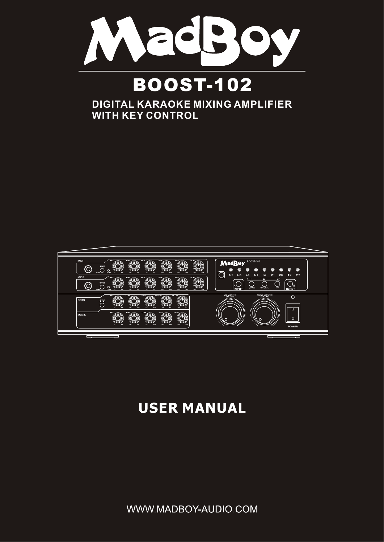

## **DIGITAL KARAOKE MIXING AMPLIFIER WITH KEY CONTROL**



## **USER MANUAL**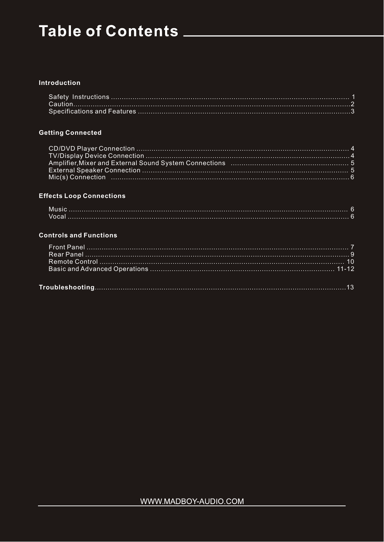# Table of Contents \_\_\_\_\_\_\_\_\_\_\_\_\_

#### **Introduction**

### **Getting Connected**

### **Effects Loop Connections**

#### **Controls and Functions**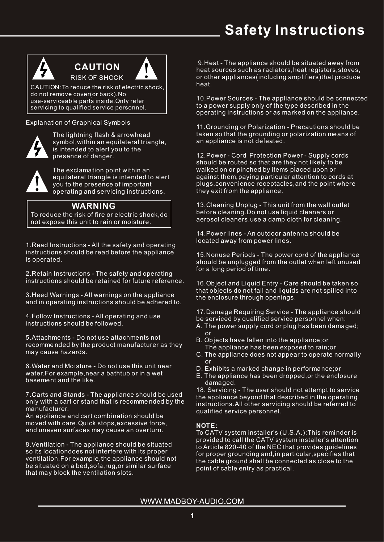## **Safety Instructions**



 **CAUTION**  RISK OF SHOCK

CAUTION:To reduce the risk of electric shock, do not remove cover(or back).No use-serviceable parts inside.Only refer servicing to qualified service personnel.

Explanation of Graphical Symbols



The lightning flash & arrowhead symbol,within an equilateral triangle, is intended to alert you to the presence of danger.

The exclamation point within an equilateral triangle is intended to alert you to the presence of important operating and servicing instructions.

### **WARNING**

To reduce the risk of fire or electric shock,do not expose this unit to rain or moisture.

1.Read Instructions - All the safety and operating instructions should be read before the appliance is operated.

2.Retain Instructions - The safety and operating instructions should be retained for future reference.

3.Heed Warnings - All warnings on the appliance and in operating instructions should be adhered to.

4.Follow Instructions - All operating and use instructions should be followed.

5.Attachments - Do not use attachments not recomme nded by the product manufacturer as they may cause hazards.

6.Water and Moisture - Do not use this unit near water.For example,near a bathtub or in a wet basement and the like.

7.Carts and Stands - The appliance should be used only with a cart or stand that is recomme nded by the manufacturer.

An appliance and cart combination should be moved with care.Quick stops,excessive force, and uneven surfaces may cause an overturn.

8.Ventilation - The appliance should be situated so its locationdoes not interfere with its proper ventilation.For example,the appliance should not be situated on a bed, sofa, rug, or similar surface that may block the ventilation slots.

9.Heat - The appliance should be situated away from heat sources such as radiators,heat registers,stoves, or other appliances(including amplifiers)that produce heat.

10.Power Sources - The appliance should be connected to a power supply only of the type described in the operating instructions or as marked on the appliance.

11.Grounding or Polarization - Precautions should be taken so that the grounding or polarization means of an appliance is not defeated.

12.Power - Cord Protection Power - Supply cords should be routed so that are they not likely to be walked on or pinched by items placed upon or against them,paying particular attention to cords at plugs,convenience receptacles,and the point where they exit from the appliance.

13.Cleaning Unplug - This unit from the wall outlet before cleaning.Do not use liquid cleaners or aerosol cleaners.use a damp cloth for cleaning.

14.Power lines - An outdoor antenna should be located away from power lines.

15.Nonuse Periods - The power cord of the appliance should be unplugged from the outlet when left unused for a long period of time.

16.Object and Liquid Entry - Care should be taken so that objects do not fall and liquids are not spilled into the enclosure through openings.

17.Damage Requiring Service - The appliance should be serviced by qualified service personnel when:

- A. The power supply cord or plug has been damaged; or
- B. Objects have fallen into the appliance;or The appliance has been exposed to rain;or
- C. The appliance does not appear to operate normally or
- D. Exhibits a marked change in performance;or
- E. The appliance has been dropped,or the enclosure damaged.

18. Servicing - The user should not attempt to service the appliance beyond that described in the operating instructions.All other servicing should be referred to qualified service personnel.

### **NOTE:**

To CATV system installer's (U.S.A.):This reminder is provided to call the CATV system installer's attention to Article 820-40 of the NEC that provides guidelines for proper grounding and,in particular,specifies that the cable ground shall be connected as close to the point of cable entry as practical.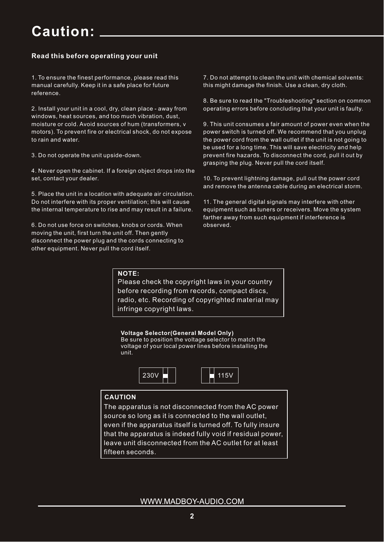## **Caution:**

### **Read this before operating your unit**

1. To ensure the finest performance, please read this manual carefully. Keep it in a safe place for future reference.

2. Install your unit in a cool, dry, clean place - away from windows, heat sources, and too much vibration, dust, moisture or cold. Avoid sources of hum (transformers, v motors). To prevent fire or electrical shock, do not expose to rain and water.

3. Do not operate the unit upside-down.

4. Never open the cabinet. If a foreign object drops into the set, contact your dealer.

5. Place the unit in a location with adequate air circulation. Do not interfere with its proper ventilation; this will cause the internal temperature to rise and may result in a failure.

6. Do not use force on switches, knobs or cords. When moving the unit, first turn the unit off. Then gently disconnect the power plug and the cords connecting to other equipment. Never pull the cord itself.

7. Do not attempt to clean the unit with chemical solvents: this might damage the finish. Use a clean, dry cloth.

8. Be sure to read the "Troubleshooting" section on common operating errors before concluding that your unit is faulty.

9. This unit consumes a fair amount of power even when the power switch is turned off. We recommend that you unplug the power cord from the wall outlet if the unit is not going to be used for a long time. This will save electricity and help prevent fire hazards. To disconnect the cord, pull it out by grasping the plug. Never pull the cord itself.

10. To prevent lightning damage, pull out the power cord and remove the antenna cable during an electrical storm.

11. The general digital signals may interfere with other equipment such as tuners or receivers. Move the system farther away from such equipment if interference is observed.

#### **NOTE:**

Please check the copyright laws in your country before recording from records, compact discs, radio, etc. Recording of copyrighted material may infringe copyright laws.

**Voltage Selector(General Model Only)**

Be sure to position the voltage selector to match the voltage of your local power lines before installing the unit.



### **CAUTION**

The apparatus is not disconnected from the AC power source so long as it is connected to the wall outlet, even if the apparatus itself is turned off. To fully insure that the apparatus is indeed fully void if residual power, leave unit disconnected from the AC outlet for at least fifteen seconds.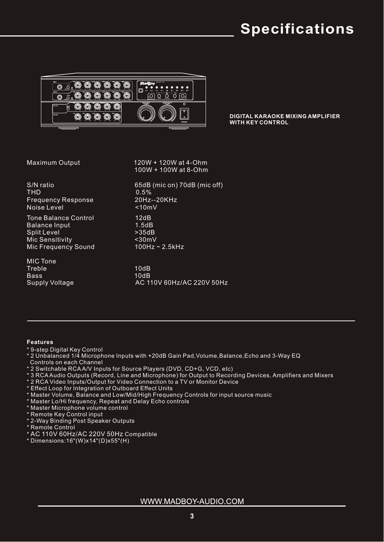## **Specifications**



**DIGITAL KARAOKE MIXING AMPLIFIER WITH KEY CONTROL**

 $S/N$  ratio  $65dB$  (mic on) 70dB (mic off)<br>THD  $0.5\%$  Frequency Response 20Hz--20KHz Noise Level <10mV

Tone Balance Control 12dB Balance Input 1.5dB Split Level >35dB<br>Mic Sensitivity <30mV Mic Sensitivity  $\leq 30 \text{mV}$ <br>Mic Frequency Sound 100Hz ~ 2.5kHz Mic Frequency Sound

MIC Tone Treble 10dB Bass 10dB Supply Voltage AC 110V 60Hz/AC 220V 50Hz

 Maximum Output 120W + 120W at 4-Ohm 100W + 100W at 8-Ohm

 $0.5%$ 

 **Features** 

- \* 9-step Digital Key Control
- \* 2 Unbalanced 1/4 Microphone Inputs with +20dB Gain Pad,Volume,Balance,Echo and 3-Way EQ
- Controls on each Channel
- \* 2 Switchable RCA A/V Inputs for Source Players (DVD, CD+G, VCD, etc)
- \* 3 RCA Audio Outputs (Record, Line and Microphone) for Output to Recording Devices, Amplifiers and Mixers
- \* 2 RCA Video Inputs/Output for Video Connection to a TV or Monitor Device
- \* Effect Loop for Integration of Outboard Effect Units
- \* Master Volume, Balance and Low/Mid/High Frequency Controls for input source music
- \* Master Lo/Hi frequency, Repeat and Delay Echo controls
- \* Master Microphone volume control
- \* Remote Key Control input
- \* 2-Way Binding Post Speaker Outputs
- \* Remote Control
- \* AC 110V 60Hz/AC 220V 50Hz Compatible
- \* Dimensions:16"(W)x14"(D)x55"(H)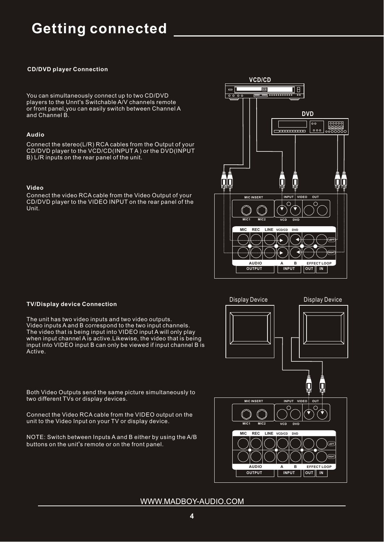## **Getting connected**

#### **CD/DVD player Connection**

You can simultaneously connect up to two CD/DVD players to the Unnt's Switchable A/V channels remote or front panel,you can easily switch between Channel A and Channel B.

#### **Audio**

Connect the stereo(L/R) RCA cables from the Output of your CD/DVD player to the VCD/CD(INPUT A ) or the DVD(INPUT B) L/R inputs on the rear panel of the unit.

#### **Video**

Connect the video RCA cable from the Video Output of your CD/DVD player to the VIDEO INPUT on the rear panel of the Unit.



#### **TV/Display device Connection**

The unit has two video inputs and two video outputs. Video inputs A and B correspond to the two input channels. The video that is being input into VIDEO input A will only play when input channel A is active.Likewise, the video that is being input into VIDEO input B can only be viewed if input channel B is Active.

l<br>Ji **MIC INSERT VIDEO OUT INPUT**  $\circ$  $\subset$ **MIC1 MIC2 VCD DVD MIC REC LINE VCD/CD DVD LEFT RIGHT AUDIO A B EFFECT LOOP OUTPUT INPUT IN OUT**

Display Device Display Device

Both Video Outputs send the same picture simultaneously to two different TVs or display devices.

Connect the Video RCA cable from the VIDEO output on the unit to the Video Input on your TV or display device.

NOTE: Switch between Inputs A and B either by using the A/B buttons on the unit's remote or on the front panel.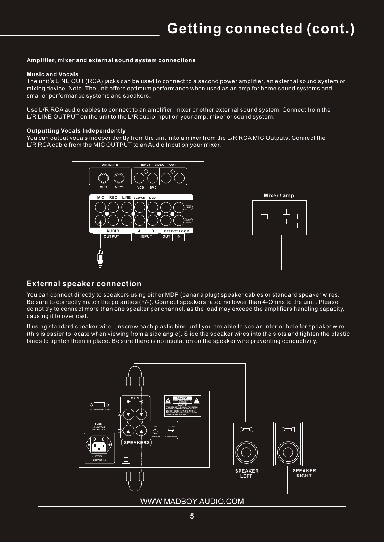#### **Amplifier, mixer and external sound system connections**

#### **Music and Vocals**

The unit's LINE OUT (RCA) jacks can be used to connect to a second power amplifier, an external sound system or mixing device. Note: The unit offers optimum performance when used as an amp for home sound systems and smaller performance systems and speakers.

Use L/R RCA audio cables to connect to an amplifier, mixer or other external sound system. Connect from the L/R LINE OUTPUT on the unit to the L/R audio input on your amp, mixer or sound system.

#### **Outputting Vocals Independently**

You can output vocals independently from the unit into a mixer from the L/R RCA MIC Outputs. Connect the L/R RCA cable from the MIC OUTPUT to an Audio Input on your mixer.



### **External speaker connection**

You can connect directly to speakers using either MDP (banana plug) speaker cables or standard speaker wires. Be sure to correctly match the polarities (+/-). Connect speakers rated no lower than 4-Ohms to the unit . Please do not try to connect more than one speaker per channel, as the load may exceed the amplifiers handling capacity, causing it to overload.

If using standard speaker wire, unscrew each plastic bind until you are able to see an interior hole for speaker wire (this is easier to locate when viewing from a side angle). Slide the speaker wires into the slots and tighten the plastic binds to tighten them in place. Be sure there is no insulation on the speaker wire preventing conductivity.

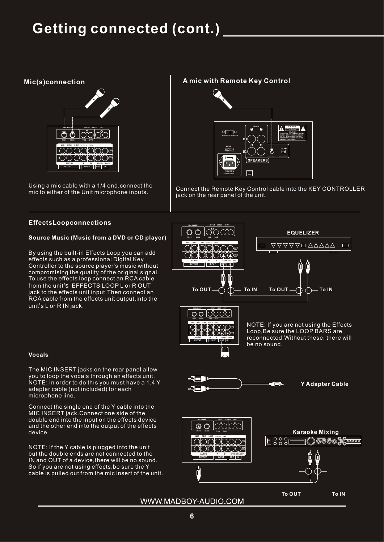## **Getting connected (cont.)**

#### **Mic(s) connection**



Using a mic cable with a 1/4 end,connect the mic to either of the Unit microphone inputs.

#### **A mic with Remote Key Control**



Connect the Remote Key Control cable into the KEY CONTROLLER jack on the rear panel of the unit.

#### **EffectsLoopconnections**

#### **Source Music (Music from a DVD or CD player)**

By using the built-in Effects Loop you can add effects such as a professional Digital Key Controller to the source player's music without compromising the quality of the original signal. To use the effects loop connect an RCA cable from the unit's EFFECTS LOOP L or R OUT jack to the effects unit input.Then connect an RCA cable from the effects unit output, into the unit's L or R IN jack.



#### **Vocals**

The MIC INSERT jacks on the rear panel allow you to loop the vocals through an effects unit. NOTE: In order to do thıs you must have a 1.4 Y adapter cable (not included) for each microphone line.

Connect the single end of the Y cable into the MIC INSERT jack.Connect one side of the double end into the input on the effects device and the other end into the output of the effects

NOTE: If the Y cable is plugged into the unit but the double ends are not connected to the IN and OUT of a device,there will be no sound. So if you are not using effects,be sure the Y cable is pulled out from the mic insert of the unit.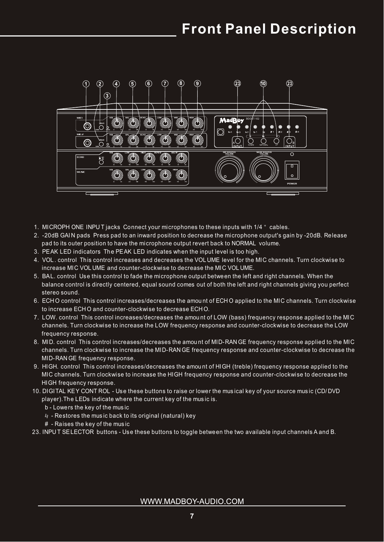## **Front Panel Description**



- 1. MICROPH ONE INPU T jacks Connect your microphones to these inputs with 1/4" cables.
- 2. -20dB GAI N pads Press pad to an inward position to decrease the microphone output's gain by -20dB. Release pad to its outer position to have the microphone output revert back to NORMAL volume.
- 3. PEAK LED indicators The PEAK LED indicates when the input level is too high.
- 4. VOL . control This control increases and decreases the VOL UME level for the MIC channels. Turn clockwise to increase MIC VOL UME and counter-clockwise to decrease the MIC VOL UME.
- 5. BAL. control Use this control to fade the microphone output between the left and right channels. When the balance control is directly centered, equal sound comes out of both the left and right channels giving you perfect stereo sound.
- 6. ECH O control This control increases/decreases the amou nt of ECH O applied to the MIC channels. Turn clockwise to increase ECH O and counter-clockwise to decrease ECH O.
- 7. LOW. control This control increases/decreases the amou nt of LOW (bass) frequency response applied to the MIC channels. Turn clockwise to increase the LOW frequency response and counter-clockwise to decrease the LOW frequency response.
- 8. MID. control This control increases/decreases the amou nt of MID-RAN GE frequency response applied to the MIC channels. Turn clockwise to increase the MID-RAN GE frequency response and counter-clockwise to decrease the MID-RAN GE frequency response.
- 9. HIGH. control This control increases/decreases the amou nt of HIGH (treble) frequency response applied to the MIC channels. Turn clockwise to increase the HIGH frequency response and counter-clockwise to decrease the HIGH frequency response.
- 10. DIGITAL KEY CONT ROL Use these buttons to raise or lower the mus ical key of your source mus ic (CD/ DVD player).The LEDs indicate where the current key of the mus ic is.
	- b Lowers the key of the mus ic
	- $4 -$  Restores the music back to its original (natural) key
	- # Raises the key of the mus ic

23. INPU T SELECTOR buttons - Use these buttons to toggle between the two available input channels A and B.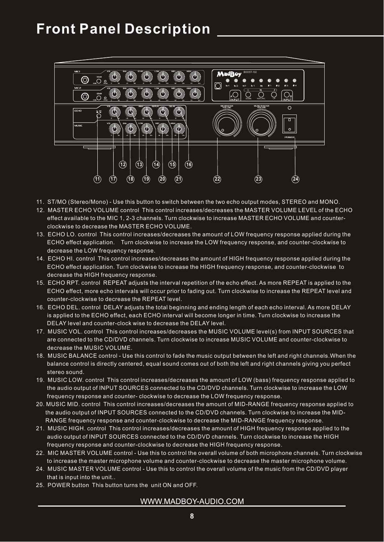## **Front Panel Description**



- 11. ST/MO (Stereo/Mono) Use this button to switch between the two echo output modes, STEREO and MONO.
- 12. MASTER ECHO VOLUME control This control increases/decreases the MASTER VOLUME LEVEL of the ECHO effect available to the MIC 1, 2-3 channels. Turn clockwise to increase MASTER ECHO VOLUME and counter clockwise to decrease the MASTER ECHO VOLUME.
- 13. ECHO LO. control This control increases/decreases the amount of LOW frequency response applied during the ECHO effect application. Turn clockwise to increase the LOW frequency response, and counter-clockwise to decrease the LOW frequency response.
- 14. ECHO HI. control This control increases/decreases the amount of HIGH frequency response applied during the ECHO effect application. Turn clockwise to increase the HIGH frequency response, and counter-clockwise to decrease the HIGH frequency response.
- 15. ECHO RPT. control REPEAT adjusts the interval repetition of the echo effect. As more REPEAT is applied to the ECHO effect, more echo intervals will occur prior to fading out. Turn clockwise to increase the REPEAT level and counter-clockwise to decrease the REPEAT level.
- 16. ECHO DEL. control DELAY adjusts the total beginning and ending length of each echo interval. As more DELAY is applied to the ECHO effect, each ECHO interval will become longer in time. Turn clockwise to increase the DELAY level and counter-clock wise to decrease the DELAY level.
- 17. MUSIC VOL. control This control increases/decreases the MUSIC VOLUME level(s) from INPUT SOURCES that are connected to the CD/DVD channels. Turn clockwise to increase MUSIC VOLUME and counter-clockwise to decrease the MUSIC VOLUME.
- 18. MUSIC BALANCE control Use this control to fade the music output between the left and right channels.When the balance control is directly centered, equal sound comes out of both the left and right channels giving you perfect stereo sound.
- 19. MUSIC LOW. control This control increases/decreases the amount of LOW (bass) frequency response applied to the audio output of INPUT SOURCES connected to the CD/DVD channels. Turn clockwise to increase the LOW frequency response and counter- clockwise to decrease the LOW frequency response.
- 20. MUSIC MID. control This control increases/decreases the amount of MID-RANGE frequency response applied to the audio output of INPUT SOURCES connected to the CD/DVD channels. Turn clockwise to increase the MID- RANGE frequency response and counter-clockwise to decrease the MID-RANGE frequency response.
- 21. MUSIC HIGH. control This control increases/decreases the amount of HIGH frequency response applied to the audio output of INPUT SOURCES connected to the CD/DVD channels. Turn clockwise to increase the HIGH frequency response and counter-clockwise to decrease the HIGH frequency response.
- 22. MIC MASTER VOLUME control Use this to control the overall volume of both microphone channels. Turn clockwise to increase the master microphone volume and counter-clockwise to decrease the master microphone volume.
- 24. MUSIC MASTER VOLUME control Use this to control the overall volume of the music from the CD/DVD player that is input into the unit..
- 25. POWER button This button turns the unit ON and OFF.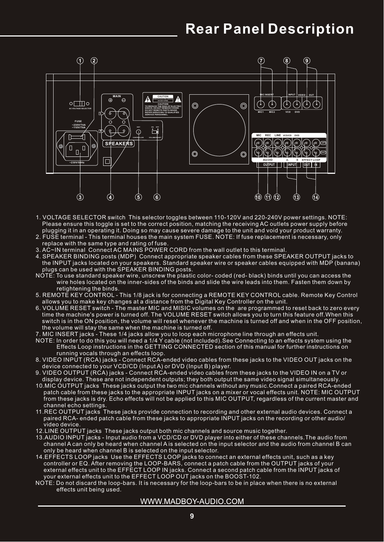

- 1. VOLTAGE SELECTOR switch This selector toggles between 110-120V and 220-240V power settings. NOTE: Please ensure this toggle is set to the correct position, matching the receiving AC outlets power supply before plugging it in an operating it. Doing so may cause severe damage to the unit and void your product warranty.
- 2. FUSE terminal This terminal houses the main system FUSE. NOTE: If fuse replacement is necessary, only replace with the same type and rating of fuse.
- 3. AC~IN terminal Connect AC MAINS POWER CORD from the wall outlet to this terminal.
- 4. SPEAKER BINDING posts (MDP) Connect appropriate speaker cables from these SPEAKER OUTPUT jacks to the INPUT jacks located on your speakers. Standard speaker wire or speaker cables equipped with MDP (banana) plugs can be used with the SPEAKER BINDING posts.
- NOTE: To use standard speaker wire, unscrew the plastic color- coded (red- black) binds until you can access the wire holes located on the inner-sides of the binds and slide the wire leads into them. Fasten them down by retightening the binds.
- 5. REMOTE KEY CONTROL This 1/8 jack is for connecting a REMOTE KEY CONTROL cable. Remote Key Control allows you to make key changes at a distance from the Digital Key Controller on the unit.
- 6. VOLUME RESET switch The master MIC and MISIC volumes on the are programmed to reset back to zero every time the machine's power is turned off. The VOLUME RESET switch allows you to turn this feature off.When this switch is in the ON position, the volume will reset whenever the machine is turned off and when in the OFF position, the volume will stay the same when the machine is turned off.
- 7. MIC INSERT jacks These 1/4 jacks allow you to loop each microphone line through an effects unit.
- NOTE: In order to do this you will need a 1/4 Y cable (not included).See Connecting to an effects system using the Effects Loop instructions in the GETTING CONNECTED section of this manual for further instructions on running vocals through an effects loop.
- 8. VIDEO INPUT (RCA) jacks Connect RCA-ended video cables from these jacks to the VIDEO OUT jacks on the device connected to your VCD/CD (Input A) or DVD (Input B) player.
- 9. VIDEO OUTPUT (RCA) jacks Connect RCA-ended video cables from these jacks to the VIDEO IN on a TV or display device. These are not independent outputs; they both output the same video signal simultaneously.
- 10.MIC OUTPUT jacks These jacks output the two mic channels without any music.Connect a paired RCA-ended patch cable from these jacks to the appropriate INPUT jacks on a mixer or vocal effects unit. NOTE: MIC OUTPUT from these jacks is dry. Echo effects will not be applied to this MIC OUTPUT, regardless of the current master and channel echo settings.
- 11.REC OUTPUT jacks These jacks provide connection to recording and other external audio devices. Connect a paired RCA- ended patch cable from these jacks to appropriate INPUT jacks on the recording or other audio/ video device.
- 12.LINE OUTPUT jacks These jacks output both mic channels and source music together.
- 13.AUDIO INPUT jacks Input audio from a VCD/CD or DVD player into either of these channels.The audio from channel A can only be heard when channel A is selected on the input selector and the audio from channel B can only be heard when channel B is selected on the input selector.
- 14. EFFECTS LOOP jacks Use the EFFECTS LOOP jacks to connect an external effects unit, such as a key controller or EQ. After removing the LOOP-BARS, connect a patch cable from the OUTPUT jacks of your external effects unit to the EFFECT LOOP IN jacks. Connect a second patch cable from the INPUT jacks of your external effects unit to the EFFECT LOOP OUT jacks on the BOOST-102.
- NOTE: Do not discard the loop-bars. It is necessary for the loop-bars to be in place when there is no external effects unit being used.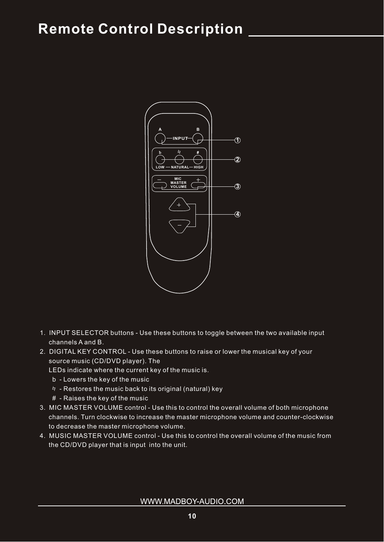

- 1. INPUT SELECTOR buttons Use these buttons to toggle between the two available input channels A and B.
- 2. DIGITAL KEY CONTROL Use these buttons to raise or lower the musical key of your source music (CD/DVD player). The

LEDs indicate where the current key of the music is.

- b Lowers the key of the music
- $4$  Restores the music back to its original (natural) key
- # Raises the key of the music
- 3. MIC MASTER VOLUME control Use this to control the overall volume of both microphone channels. Turn clockwise to increase the master microphone volume and counter-clockwise to decrease the master microphone volume.
- 4. MUSIC MASTER VOLUME control Use this to control the overall volume of the music from the CD/DVD player that is input into the unit.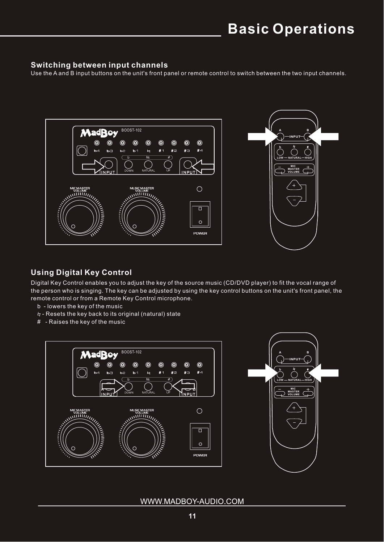### **Switching between input channels**

Use the A and B input buttons on the unit's front panel or remote control to switch between the two input channels.



## **Using Digital Key Control**

Digital Key Control enables you to adjust the key of the source music (CD/DVD player) to fit the vocal range of the person who is singing. The key can be adjusted by using the key control buttons on the unit's front panel, the remote control or from a Remote Key Control microphone.

- b lowers the key of the music
- Resets the key back to its original (natural) state
- # Raises the key of the music



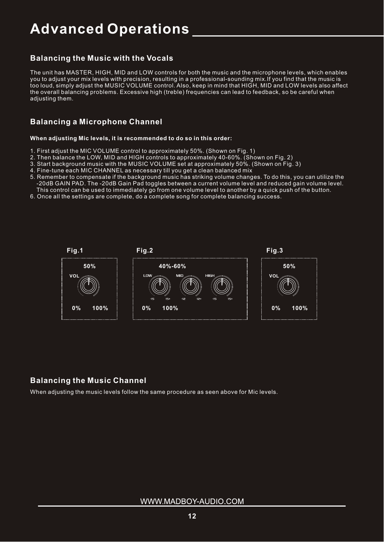## **Advanced Operations**

## **Balancing the Music with the Vocals**

The unit has MASTER, HIGH, MID and LOW controls for both the music and the microphone levels, which enables you to adjust your mix levels with precision, resulting in a professional-sounding mix.If you find that the music is too loud, simply adjust the MUSIC VOLUME control. Also, keep in mind that HIGH, MID and LOW levels also affect the overall balancing problems. Excessive high (treble) frequencies can lead to feedback, so be careful when adjusting them.

## **Balancing a Microphone Channel**

#### **When adjusting Mic levels, it is recommended to do so in this order:**

- 1. First adjust the MIC VOLUME control to approximately 50%. (Shown on Fig. 1)
- 2. Then balance the LOW, MID and HIGH controls to approximately 40-60%. (Shown on Fig. 2)
- 3. Start background music with the MUSIC VOLUME set at approximately 50%. (Shown on Fig. 3)
- 4. Fine-tune each MIC CHANNEL as necessary till you get a clean balanced mix
- 5. Remember to compensate if the background music has striking volume changes. To do this, you can utilize the -20dB GAIN PAD. The -20dB Gain Pad toggles between a current volume level and reduced gain volume level. This control can be used to immediately go from one volume level to another by a quick push of the button.
- 6. Once all the settings are complete, do a complete song for complete balancing success.



### **Balancing the Music Channel**

When adjusting the music levels follow the same procedure as seen above for Mic levels.